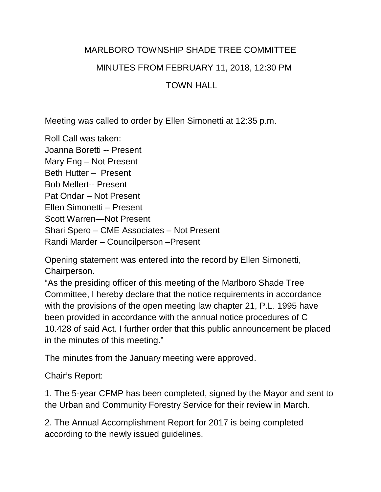## MARLBORO TOWNSHIP SHADE TREE COMMITTEE MINUTES FROM FEBRUARY 11, 2018, 12:30 PM

## TOWN HALL

Meeting was called to order by Ellen Simonetti at 12:35 p.m.

Roll Call was taken: Joanna Boretti -- Present Mary Eng – Not Present Beth Hutter – Present Bob Mellert-- Present Pat Ondar – Not Present Ellen Simonetti – Present Scott Warren—Not Present Shari Spero – CME Associates – Not Present Randi Marder – Councilperson –Present

Opening statement was entered into the record by Ellen Simonetti, Chairperson.

"As the presiding officer of this meeting of the Marlboro Shade Tree Committee, I hereby declare that the notice requirements in accordance with the provisions of the open meeting law chapter 21, P.L. 1995 have been provided in accordance with the annual notice procedures of C 10.428 of said Act. I further order that this public announcement be placed in the minutes of this meeting."

The minutes from the January meeting were approved.

Chair's Report:

1. The 5-year CFMP has been completed, signed by the Mayor and sent to the Urban and Community Forestry Service for their review in March.

2. The Annual Accomplishment Report for 2017 is being completed according to the newly issued guidelines.